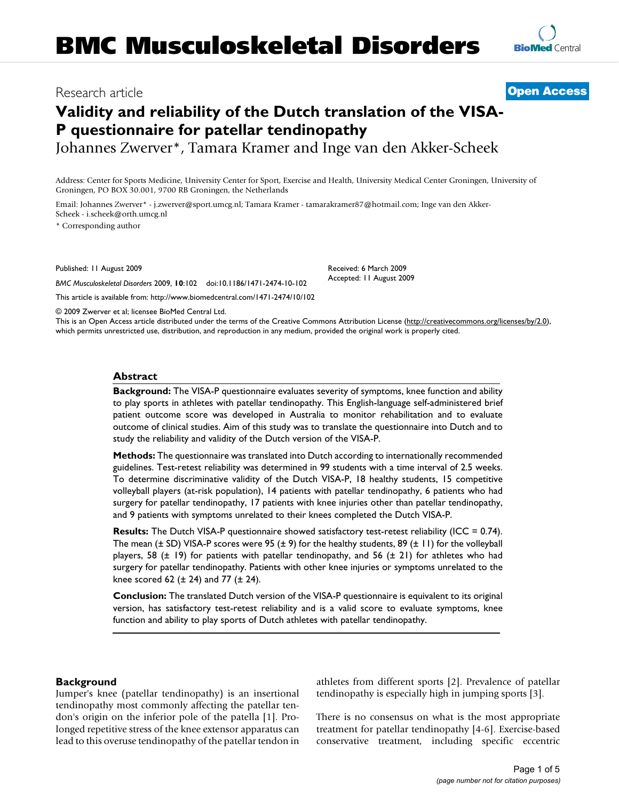# Research article

# **Validity and reliability of the Dutch translation of the VISA-P questionnaire for patellar tendinopathy**

Johannes Zwerver\*, Tamara Kramer and Inge van den Akker-Scheek

Address: Center for Sports Medicine, University Center for Sport, Exercise and Health, University Medical Center Groningen, University of Groningen, PO BOX 30.001, 9700 RB Groningen, the Netherlands

Email: Johannes Zwerver\* - j.zwerver@sport.umcg.nl; Tamara Kramer - tamarakramer87@hotmail.com; Inge van den Akker-Scheek - i.scheek@orth.umcg.nl

\* Corresponding author

Published: 11 August 2009

*BMC Musculoskeletal Disorders* 2009, **10**:102 doi:10.1186/1471-2474-10-102

[This article is available from: http://www.biomedcentral.com/1471-2474/10/102](http://www.biomedcentral.com/1471-2474/10/102)

© 2009 Zwerver et al; licensee BioMed Central Ltd.

This is an Open Access article distributed under the terms of the Creative Commons Attribution License [\(http://creativecommons.org/licenses/by/2.0\)](http://creativecommons.org/licenses/by/2.0), which permits unrestricted use, distribution, and reproduction in any medium, provided the original work is properly cited.

## **Abstract**

**Background:** The VISA-P questionnaire evaluates severity of symptoms, knee function and ability to play sports in athletes with patellar tendinopathy. This English-language self-administered brief patient outcome score was developed in Australia to monitor rehabilitation and to evaluate outcome of clinical studies. Aim of this study was to translate the questionnaire into Dutch and to study the reliability and validity of the Dutch version of the VISA-P.

**Methods:** The questionnaire was translated into Dutch according to internationally recommended guidelines. Test-retest reliability was determined in 99 students with a time interval of 2.5 weeks. To determine discriminative validity of the Dutch VISA-P, 18 healthy students, 15 competitive volleyball players (at-risk population), 14 patients with patellar tendinopathy, 6 patients who had surgery for patellar tendinopathy, 17 patients with knee injuries other than patellar tendinopathy, and 9 patients with symptoms unrelated to their knees completed the Dutch VISA-P.

**Results:** The Dutch VISA-P questionnaire showed satisfactory test-retest reliability (ICC = 0.74). The mean ( $\pm$  SD) VISA-P scores were 95 ( $\pm$  9) for the healthy students, 89 ( $\pm$  11) for the volleyball players, 58 ( $\pm$  19) for patients with patellar tendinopathy, and 56 ( $\pm$  21) for athletes who had surgery for patellar tendinopathy. Patients with other knee injuries or symptoms unrelated to the knee scored 62 ( $\pm$  24) and 77 ( $\pm$  24).

**Conclusion:** The translated Dutch version of the VISA-P questionnaire is equivalent to its original version, has satisfactory test-retest reliability and is a valid score to evaluate symptoms, knee function and ability to play sports of Dutch athletes with patellar tendinopathy.

## **Background**

Jumper's knee (patellar tendinopathy) is an insertional tendinopathy most commonly affecting the patellar tendon's origin on the inferior pole of the patella [[1\]](#page-4-0). Prolonged repetitive stress of the knee extensor apparatus can lead to this overuse tendinopathy of the patellar tendon in athletes from different sports [\[2](#page-4-1)]. Prevalence of patellar tendinopathy is especially high in jumping sports [\[3\]](#page-4-2).

There is no consensus on what is the most appropriate treatment for patellar tendinopathy [[4](#page-4-3)[-6\]](#page-4-4). Exercise-based conservative treatment, including specific eccentric



**[Open Access](http://www.biomedcentral.com/info/about/charter/)**

Received: 6 March 2009 Accepted: 11 August 2009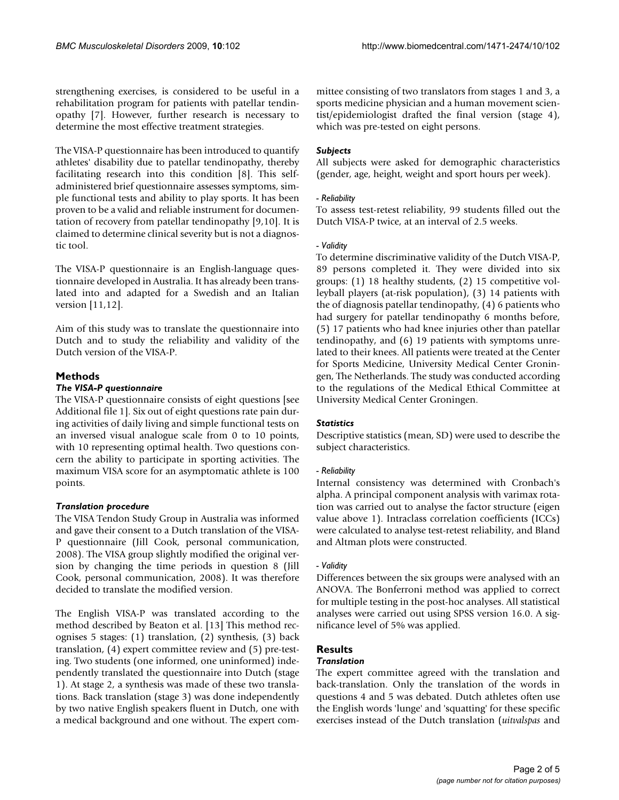strengthening exercises, is considered to be useful in a rehabilitation program for patients with patellar tendinopathy [\[7\]](#page-4-5). However, further research is necessary to determine the most effective treatment strategies.

The VISA-P questionnaire has been introduced to quantify athletes' disability due to patellar tendinopathy, thereby facilitating research into this condition [[8](#page-4-6)]. This selfadministered brief questionnaire assesses symptoms, simple functional tests and ability to play sports. It has been proven to be a valid and reliable instrument for documentation of recovery from patellar tendinopathy [\[9](#page-4-7),[10\]](#page-4-8). It is claimed to determine clinical severity but is not a diagnostic tool.

The VISA-P questionnaire is an English-language questionnaire developed in Australia. It has already been translated into and adapted for a Swedish and an Italian version [[11,](#page-4-9)[12\]](#page-4-10).

Aim of this study was to translate the questionnaire into Dutch and to study the reliability and validity of the Dutch version of the VISA-P.

## **Methods**

## *The VISA-P questionnaire*

The VISA-P questionnaire consists of eight questions [see Additional file [1](#page-4-11)]. Six out of eight questions rate pain during activities of daily living and simple functional tests on an inversed visual analogue scale from 0 to 10 points, with 10 representing optimal health. Two questions concern the ability to participate in sporting activities. The maximum VISA score for an asymptomatic athlete is 100 points.

## *Translation procedure*

The VISA Tendon Study Group in Australia was informed and gave their consent to a Dutch translation of the VISA-P questionnaire (Jill Cook, personal communication, 2008). The VISA group slightly modified the original version by changing the time periods in question 8 (Jill Cook, personal communication, 2008). It was therefore decided to translate the modified version.

The English VISA-P was translated according to the method described by Beaton et al. [[13\]](#page-4-12) This method recognises 5 stages: (1) translation, (2) synthesis, (3) back translation, (4) expert committee review and (5) pre-testing. Two students (one informed, one uninformed) independently translated the questionnaire into Dutch (stage 1). At stage 2, a synthesis was made of these two translations. Back translation (stage 3) was done independently by two native English speakers fluent in Dutch, one with a medical background and one without. The expert committee consisting of two translators from stages 1 and 3, a sports medicine physician and a human movement scientist/epidemiologist drafted the final version (stage 4), which was pre-tested on eight persons.

## *Subjects*

All subjects were asked for demographic characteristics (gender, age, height, weight and sport hours per week).

## *- Reliability*

To assess test-retest reliability, 99 students filled out the Dutch VISA-P twice, at an interval of 2.5 weeks.

## *- Validity*

To determine discriminative validity of the Dutch VISA-P, 89 persons completed it. They were divided into six groups: (1) 18 healthy students, (2) 15 competitive volleyball players (at-risk population), (3) 14 patients with the of diagnosis patellar tendinopathy, (4) 6 patients who had surgery for patellar tendinopathy 6 months before, (5) 17 patients who had knee injuries other than patellar tendinopathy, and (6) 19 patients with symptoms unrelated to their knees. All patients were treated at the Center for Sports Medicine, University Medical Center Groningen, The Netherlands. The study was conducted according to the regulations of the Medical Ethical Committee at University Medical Center Groningen.

## *Statistics*

Descriptive statistics (mean, SD) were used to describe the subject characteristics.

## *- Reliability*

Internal consistency was determined with Cronbach's alpha. A principal component analysis with varimax rotation was carried out to analyse the factor structure (eigen value above 1). Intraclass correlation coefficients (ICCs) were calculated to analyse test-retest reliability, and Bland and Altman plots were constructed.

## *- Validity*

Differences between the six groups were analysed with an ANOVA. The Bonferroni method was applied to correct for multiple testing in the post-hoc analyses. All statistical analyses were carried out using SPSS version 16.0. A significance level of 5% was applied.

# **Results**

## *Translation*

The expert committee agreed with the translation and back-translation. Only the translation of the words in questions 4 and 5 was debated. Dutch athletes often use the English words 'lunge' and 'squatting' for these specific exercises instead of the Dutch translation (*uitvalspas* and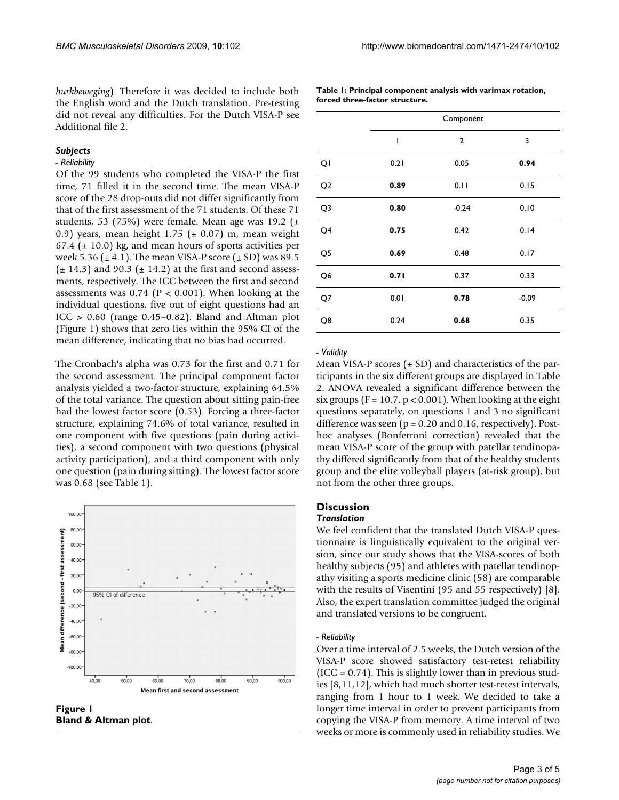*hurkbeweging*). Therefore it was decided to include both the English word and the Dutch translation. Pre-testing did not reveal any difficulties. For the Dutch VISA-P see Additional file [2.](#page-4-13)

#### *Subjects*

## *- Reliability*

Of the 99 students who completed the VISA-P the first time, 71 filled it in the second time. The mean VISA-P score of the 28 drop-outs did not differ significantly from that of the first assessment of the 71 students. Of these 71 students, 53 (75%) were female. Mean age was 19.2 ( $\pm$ 0.9) years, mean height 1.75 ( $\pm$  0.07) m, mean weight 67.4 ( $\pm$  10.0) kg, and mean hours of sports activities per week 5.36 ( $\pm$  4.1). The mean VISA-P score ( $\pm$  SD) was 89.5  $(\pm 14.3)$  and 90.3  $(\pm 14.2)$  at the first and second assessments, respectively. The ICC between the first and second assessments was  $0.74$  (P < 0.001). When looking at the individual questions, five out of eight questions had an  $ICC > 0.60$  (range  $0.45-0.82$ ). Bland and Altman plot (Figure [1\)](#page-2-0) shows that zero lies within the 95% CI of the mean difference, indicating that no bias had occurred.

The Cronbach's alpha was 0.73 for the first and 0.71 for the second assessment. The principal component factor analysis yielded a two-factor structure, explaining 64.5% of the total variance. The question about sitting pain-free had the lowest factor score (0.53). Forcing a three-factor structure, explaining 74.6% of total variance, resulted in one component with five questions (pain during activities), a second component with two questions (physical activity participation), and a third component with only one question (pain during sitting). The lowest factor score was 0.68 (see Table [1\)](#page-2-1).

<span id="page-2-0"></span>

**Figure 1 Bland & Altman plot**.

<span id="page-2-1"></span>**Table 1: Principal component analysis with varimax rotation, forced three-factor structure.**

|                | Component |                         |         |  |  |
|----------------|-----------|-------------------------|---------|--|--|
|                | I         | $\overline{\mathbf{c}}$ | 3       |  |  |
| QI             | 0.21      | 0.05                    | 0.94    |  |  |
| Q <sub>2</sub> | 0.89      | 0.11                    | 0.15    |  |  |
| Q3             | 0.80      | $-0.24$                 | 0.10    |  |  |
| Q4             | 0.75      | 0.42                    | 0.14    |  |  |
| Q <sub>5</sub> | 0.69      | 0.48                    | 0.17    |  |  |
| Q <sub>6</sub> | 0.71      | 0.37                    | 0.33    |  |  |
| Q7             | 0.01      | 0.78                    | $-0.09$ |  |  |
| Q8             | 0.24      | 0.68                    | 0.35    |  |  |

#### *- Validity*

Mean VISA-P scores  $(\pm SD)$  and characteristics of the participants in the six different groups are displayed in Table [2](#page-3-0). ANOVA revealed a significant difference between the six groups ( $F = 10.7$ ,  $p < 0.001$ ). When looking at the eight questions separately, on questions 1 and 3 no significant difference was seen ( $p = 0.20$  and 0.16, respectively). Posthoc analyses (Bonferroni correction) revealed that the mean VISA-P score of the group with patellar tendinopathy differed significantly from that of the healthy students group and the elite volleyball players (at-risk group), but not from the other three groups.

## **Discussion**

## *Translation*

We feel confident that the translated Dutch VISA-P questionnaire is linguistically equivalent to the original version, since our study shows that the VISA-scores of both healthy subjects (95) and athletes with patellar tendinopathy visiting a sports medicine clinic (58) are comparable with the results of Visentini (95 and 55 respectively) [[8](#page-4-6)]. Also, the expert translation committee judged the original and translated versions to be congruent.

#### *- Reliability*

Over a time interval of 2.5 weeks, the Dutch version of the VISA-P score showed satisfactory test-retest reliability  $(ICC = 0.74)$ . This is slightly lower than in previous studies [[8](#page-4-6),[11,](#page-4-9)[12\]](#page-4-10), which had much shorter test-retest intervals, ranging from 1 hour to 1 week. We decided to take a longer time interval in order to prevent participants from copying the VISA-P from memory. A time interval of two weeks or more is commonly used in reliability studies. We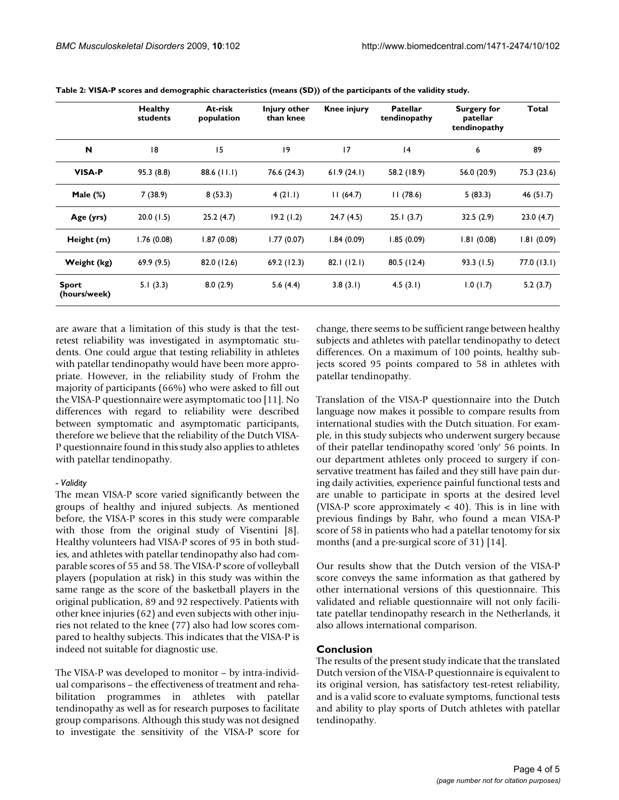|                              | <b>Healthy</b><br>students | At-risk<br>population | Injury other<br>than knee | <b>Knee injury</b> | <b>Patellar</b><br>tendinopathy | Surgery for<br>patellar<br>tendinopathy | Total       |
|------------------------------|----------------------------|-----------------------|---------------------------|--------------------|---------------------------------|-----------------------------------------|-------------|
| N                            | 18                         | 15                    | 19                        | 17                 | 4                               | 6                                       | 89          |
| <b>VISA-P</b>                | 95.3 (8.8)                 | 88.6 (11.1)           | 76.6 (24.3)               | 61.9(24.1)         | 58.2 (18.9)                     | 56.0 (20.9)                             | 75.3 (23.6) |
| Male $(\%)$                  | 7(38.9)                    | 8(53.3)               | 4(21.1)                   | 11(64.7)           | 11(78.6)                        | 5(83.3)                                 | 46 $(51.7)$ |
| Age (yrs)                    | 20.0(1.5)                  | 25.2(4.7)             | 19.2(1.2)                 | 24.7(4.5)          | 25.1(3.7)                       | 32.5(2.9)                               | 23.0(4.7)   |
| Height (m)                   | 1.76(0.08)                 | 1.87(0.08)            | 1.77 (0.07)               | 1.84(0.09)         | 1.85 (0.09)                     | 1.81(0.08)                              | 1.81(0.09)  |
| Weight (kg)                  | 69.9(9.5)                  | 82.0 (12.6)           | 69.2(12.3)                | 82.1(12.1)         | 80.5(12.4)                      | 93.3(1.5)                               | 77.0(13.1)  |
| <b>Sport</b><br>(hours/week) | 5.1(3.3)                   | 8.0(2.9)              | 5.6(4.4)                  | 3.8(3.1)           | 4.5(3.1)                        | 1.0(1.7)                                | 5.2(3.7)    |

<span id="page-3-0"></span>**Table 2: VISA-P scores and demographic characteristics (means (SD)) of the participants of the validity study.**

are aware that a limitation of this study is that the testretest reliability was investigated in asymptomatic students. One could argue that testing reliability in athletes with patellar tendinopathy would have been more appropriate. However, in the reliability study of Frohm the majority of participants (66%) who were asked to fill out the VISA-P questionnaire were asymptomatic too [\[11\]](#page-4-9). No differences with regard to reliability were described between symptomatic and asymptomatic participants, therefore we believe that the reliability of the Dutch VISA-P questionnaire found in this study also applies to athletes with patellar tendinopathy.

## *- Validity*

The mean VISA-P score varied significantly between the groups of healthy and injured subjects. As mentioned before, the VISA-P scores in this study were comparable with those from the original study of Visentini [[8](#page-4-6)]. Healthy volunteers had VISA-P scores of 95 in both studies, and athletes with patellar tendinopathy also had comparable scores of 55 and 58. The VISA-P score of volleyball players (population at risk) in this study was within the same range as the score of the basketball players in the original publication, 89 and 92 respectively. Patients with other knee injuries (62) and even subjects with other injuries not related to the knee (77) also had low scores compared to healthy subjects. This indicates that the VISA-P is indeed not suitable for diagnostic use.

The VISA-P was developed to monitor – by intra-individual comparisons – the effectiveness of treatment and rehabilitation programmes in athletes with patellar tendinopathy as well as for research purposes to facilitate group comparisons. Although this study was not designed to investigate the sensitivity of the VISA-P score for change, there seems to be sufficient range between healthy subjects and athletes with patellar tendinopathy to detect differences. On a maximum of 100 points, healthy subjects scored 95 points compared to 58 in athletes with patellar tendinopathy.

Translation of the VISA-P questionnaire into the Dutch language now makes it possible to compare results from international studies with the Dutch situation. For example, in this study subjects who underwent surgery because of their patellar tendinopathy scored 'only' 56 points. In our department athletes only proceed to surgery if conservative treatment has failed and they still have pain during daily activities, experience painful functional tests and are unable to participate in sports at the desired level (VISA-P score approximately  $<$  40). This is in line with previous findings by Bahr, who found a mean VISA-P score of 58 in patients who had a patellar tenotomy for six months (and a pre-surgical score of 31) [\[14\]](#page-4-14).

Our results show that the Dutch version of the VISA-P score conveys the same information as that gathered by other international versions of this questionnaire. This validated and reliable questionnaire will not only facilitate patellar tendinopathy research in the Netherlands, it also allows international comparison.

## **Conclusion**

The results of the present study indicate that the translated Dutch version of the VISA-P questionnaire is equivalent to its original version, has satisfactory test-retest reliability, and is a valid score to evaluate symptoms, functional tests and ability to play sports of Dutch athletes with patellar tendinopathy.